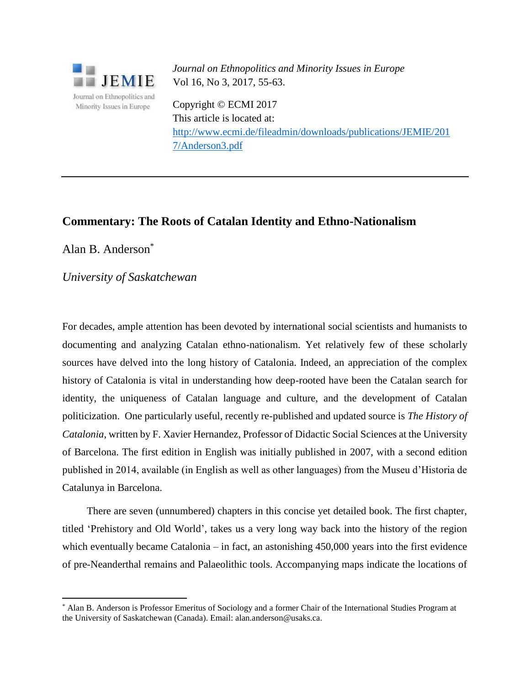

*Journal on Ethnopolitics and Minority Issues in Europe* Vol 16, No 3, 2017, 55-63.

Copyright © ECMI 2017 This article is located at: [http://www.ecmi.de/fileadmin/downloads/publications/JEMIE/201](http://www.ecmi.de/fileadmin/downloads/publications/JEMIE/201%207/Anderson3.pdf)  [7/Anderson3.pdf](http://www.ecmi.de/fileadmin/downloads/publications/JEMIE/201%207/Anderson3.pdf)

## **Commentary: The Roots of Catalan Identity and Ethno-Nationalism**

Alan B. Anderson\*

 $\overline{a}$ 

*University of Saskatchewan*

For decades, ample attention has been devoted by international social scientists and humanists to documenting and analyzing Catalan ethno-nationalism. Yet relatively few of these scholarly sources have delved into the long history of Catalonia. Indeed, an appreciation of the complex history of Catalonia is vital in understanding how deep-rooted have been the Catalan search for identity, the uniqueness of Catalan language and culture, and the development of Catalan politicization. One particularly useful, recently re-published and updated source is *The History of Catalonia*, written by F. Xavier Hernandez, Professor of Didactic Social Sciences at the University of Barcelona. The first edition in English was initially published in 2007, with a second edition published in 2014, available (in English as well as other languages) from the Museu d'Historia de Catalunya in Barcelona.

There are seven (unnumbered) chapters in this concise yet detailed book. The first chapter, titled 'Prehistory and Old World', takes us a very long way back into the history of the region which eventually became Catalonia – in fact, an astonishing 450,000 years into the first evidence of pre-Neanderthal remains and Palaeolithic tools. Accompanying maps indicate the locations of

<sup>\*</sup> Alan B. Anderson is Professor Emeritus of Sociology and a former Chair of the International Studies Program at the University of Saskatchewan (Canada). Email: alan.anderson@usaks.ca.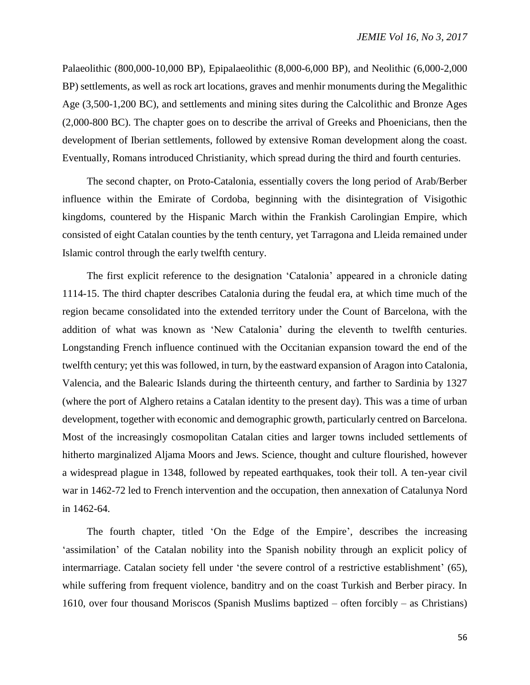Palaeolithic (800,000-10,000 BP), Epipalaeolithic (8,000-6,000 BP), and Neolithic (6,000-2,000 BP) settlements, as well as rock art locations, graves and menhir monuments during the Megalithic Age (3,500-1,200 BC), and settlements and mining sites during the Calcolithic and Bronze Ages (2,000-800 BC). The chapter goes on to describe the arrival of Greeks and Phoenicians, then the development of Iberian settlements, followed by extensive Roman development along the coast. Eventually, Romans introduced Christianity, which spread during the third and fourth centuries.

The second chapter, on Proto-Catalonia, essentially covers the long period of Arab/Berber influence within the Emirate of Cordoba, beginning with the disintegration of Visigothic kingdoms, countered by the Hispanic March within the Frankish Carolingian Empire, which consisted of eight Catalan counties by the tenth century, yet Tarragona and Lleida remained under Islamic control through the early twelfth century.

The first explicit reference to the designation 'Catalonia' appeared in a chronicle dating 1114-15. The third chapter describes Catalonia during the feudal era, at which time much of the region became consolidated into the extended territory under the Count of Barcelona, with the addition of what was known as 'New Catalonia' during the eleventh to twelfth centuries. Longstanding French influence continued with the Occitanian expansion toward the end of the twelfth century; yet this was followed, in turn, by the eastward expansion of Aragon into Catalonia, Valencia, and the Balearic Islands during the thirteenth century, and farther to Sardinia by 1327 (where the port of Alghero retains a Catalan identity to the present day). This was a time of urban development, together with economic and demographic growth, particularly centred on Barcelona. Most of the increasingly cosmopolitan Catalan cities and larger towns included settlements of hitherto marginalized Aljama Moors and Jews. Science, thought and culture flourished, however a widespread plague in 1348, followed by repeated earthquakes, took their toll. A ten-year civil war in 1462-72 led to French intervention and the occupation, then annexation of Catalunya Nord in 1462-64.

The fourth chapter, titled 'On the Edge of the Empire', describes the increasing 'assimilation' of the Catalan nobility into the Spanish nobility through an explicit policy of intermarriage. Catalan society fell under 'the severe control of a restrictive establishment' (65), while suffering from frequent violence, banditry and on the coast Turkish and Berber piracy. In 1610, over four thousand Moriscos (Spanish Muslims baptized – often forcibly – as Christians)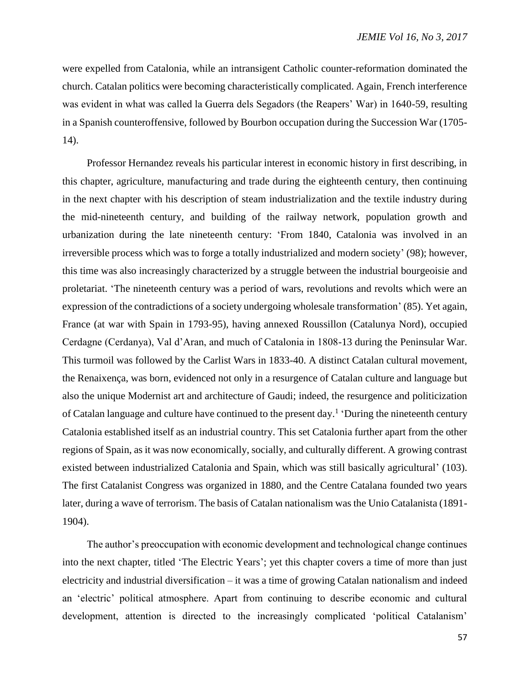were expelled from Catalonia, while an intransigent Catholic counter-reformation dominated the church. Catalan politics were becoming characteristically complicated. Again, French interference was evident in what was called la Guerra dels Segadors (the Reapers' War) in 1640-59, resulting in a Spanish counteroffensive, followed by Bourbon occupation during the Succession War (1705- 14).

Professor Hernandez reveals his particular interest in economic history in first describing, in this chapter, agriculture, manufacturing and trade during the eighteenth century, then continuing in the next chapter with his description of steam industrialization and the textile industry during the mid-nineteenth century, and building of the railway network, population growth and urbanization during the late nineteenth century: 'From 1840, Catalonia was involved in an irreversible process which was to forge a totally industrialized and modern society' (98); however, this time was also increasingly characterized by a struggle between the industrial bourgeoisie and proletariat. 'The nineteenth century was a period of wars, revolutions and revolts which were an expression of the contradictions of a society undergoing wholesale transformation' (85). Yet again, France (at war with Spain in 1793-95), having annexed Roussillon (Catalunya Nord), occupied Cerdagne (Cerdanya), Val d'Aran, and much of Catalonia in 1808-13 during the Peninsular War. This turmoil was followed by the Carlist Wars in 1833-40. A distinct Catalan cultural movement, the Renaixença, was born, evidenced not only in a resurgence of Catalan culture and language but also the unique Modernist art and architecture of Gaudi; indeed, the resurgence and politicization of Catalan language and culture have continued to the present day.<sup>1</sup> 'During the nineteenth century Catalonia established itself as an industrial country. This set Catalonia further apart from the other regions of Spain, as it was now economically, socially, and culturally different. A growing contrast existed between industrialized Catalonia and Spain, which was still basically agricultural' (103). The first Catalanist Congress was organized in 1880, and the Centre Catalana founded two years later, during a wave of terrorism. The basis of Catalan nationalism was the Unio Catalanista (1891- 1904).

The author's preoccupation with economic development and technological change continues into the next chapter, titled 'The Electric Years'; yet this chapter covers a time of more than just electricity and industrial diversification – it was a time of growing Catalan nationalism and indeed an 'electric' political atmosphere. Apart from continuing to describe economic and cultural development, attention is directed to the increasingly complicated 'political Catalanism'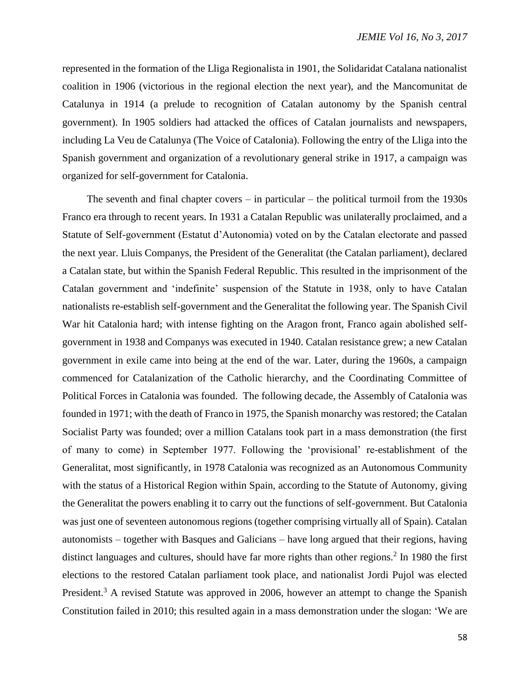represented in the formation of the Lliga Regionalista in 1901, the Solidaridat Catalana nationalist coalition in 1906 (victorious in the regional election the next year), and the Mancomunitat de Catalunya in 1914 (a prelude to recognition of Catalan autonomy by the Spanish central government). In 1905 soldiers had attacked the offices of Catalan journalists and newspapers, including La Veu de Catalunya (The Voice of Catalonia). Following the entry of the Lliga into the Spanish government and organization of a revolutionary general strike in 1917, a campaign was organized for self-government for Catalonia.

The seventh and final chapter covers – in particular – the political turmoil from the  $1930s$ Franco era through to recent years. In 1931 a Catalan Republic was unilaterally proclaimed, and a Statute of Self-government (Estatut d'Autonomia) voted on by the Catalan electorate and passed the next year. Lluis Companys, the President of the Generalitat (the Catalan parliament), declared a Catalan state, but within the Spanish Federal Republic. This resulted in the imprisonment of the Catalan government and 'indefinite' suspension of the Statute in 1938, only to have Catalan nationalists re-establish self-government and the Generalitat the following year. The Spanish Civil War hit Catalonia hard; with intense fighting on the Aragon front, Franco again abolished selfgovernment in 1938 and Companys was executed in 1940. Catalan resistance grew; a new Catalan government in exile came into being at the end of the war. Later, during the 1960s, a campaign commenced for Catalanization of the Catholic hierarchy, and the Coordinating Committee of Political Forces in Catalonia was founded. The following decade, the Assembly of Catalonia was founded in 1971; with the death of Franco in 1975, the Spanish monarchy was restored; the Catalan Socialist Party was founded; over a million Catalans took part in a mass demonstration (the first of many to come) in September 1977. Following the 'provisional' re-establishment of the Generalitat, most significantly, in 1978 Catalonia was recognized as an Autonomous Community with the status of a Historical Region within Spain, according to the Statute of Autonomy, giving the Generalitat the powers enabling it to carry out the functions of self-government. But Catalonia was just one of seventeen autonomous regions (together comprising virtually all of Spain). Catalan autonomists – together with Basques and Galicians – have long argued that their regions, having distinct languages and cultures, should have far more rights than other regions.<sup>2</sup> In 1980 the first elections to the restored Catalan parliament took place, and nationalist Jordi Pujol was elected President.<sup>3</sup> A revised Statute was approved in 2006, however an attempt to change the Spanish Constitution failed in 2010; this resulted again in a mass demonstration under the slogan: 'We are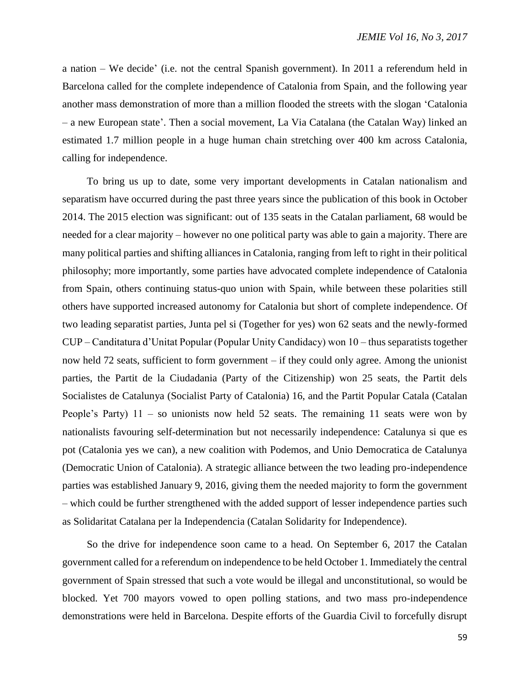a nation – We decide' (i.e. not the central Spanish government). In 2011 a referendum held in Barcelona called for the complete independence of Catalonia from Spain, and the following year another mass demonstration of more than a million flooded the streets with the slogan 'Catalonia – a new European state'. Then a social movement, La Via Catalana (the Catalan Way) linked an estimated 1.7 million people in a huge human chain stretching over 400 km across Catalonia, calling for independence.

To bring us up to date, some very important developments in Catalan nationalism and separatism have occurred during the past three years since the publication of this book in October 2014. The 2015 election was significant: out of 135 seats in the Catalan parliament, 68 would be needed for a clear majority – however no one political party was able to gain a majority. There are many political parties and shifting alliances in Catalonia, ranging from left to right in their political philosophy; more importantly, some parties have advocated complete independence of Catalonia from Spain, others continuing status-quo union with Spain, while between these polarities still others have supported increased autonomy for Catalonia but short of complete independence. Of two leading separatist parties, Junta pel si (Together for yes) won 62 seats and the newly-formed CUP – Canditatura d'Unitat Popular (Popular Unity Candidacy) won 10 – thus separatists together now held 72 seats, sufficient to form government – if they could only agree. Among the unionist parties, the Partit de la Ciudadania (Party of the Citizenship) won 25 seats, the Partit dels Socialistes de Catalunya (Socialist Party of Catalonia) 16, and the Partit Popular Catala (Catalan People's Party) 11 – so unionists now held 52 seats. The remaining 11 seats were won by nationalists favouring self-determination but not necessarily independence: Catalunya si que es pot (Catalonia yes we can), a new coalition with Podemos, and Unio Democratica de Catalunya (Democratic Union of Catalonia). A strategic alliance between the two leading pro-independence parties was established January 9, 2016, giving them the needed majority to form the government – which could be further strengthened with the added support of lesser independence parties such as Solidaritat Catalana per la Independencia (Catalan Solidarity for Independence).

So the drive for independence soon came to a head. On September 6, 2017 the Catalan government called for a referendum on independence to be held October 1. Immediately the central government of Spain stressed that such a vote would be illegal and unconstitutional, so would be blocked. Yet 700 mayors vowed to open polling stations, and two mass pro-independence demonstrations were held in Barcelona. Despite efforts of the Guardia Civil to forcefully disrupt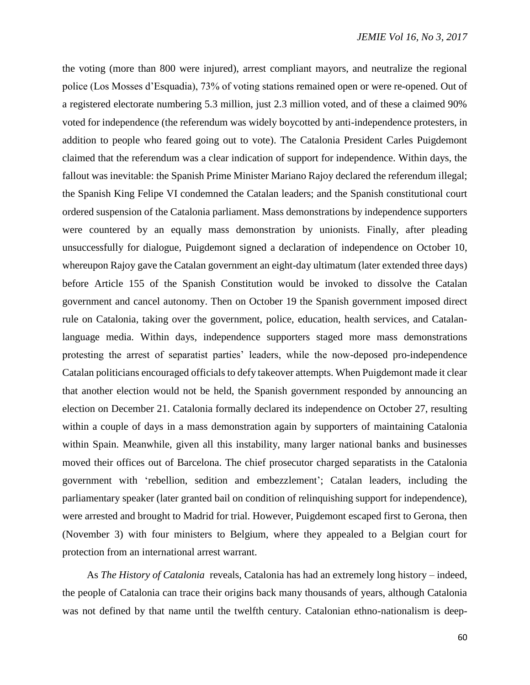the voting (more than 800 were injured), arrest compliant mayors, and neutralize the regional police (Los Mosses d'Esquadia), 73% of voting stations remained open or were re-opened. Out of a registered electorate numbering 5.3 million, just 2.3 million voted, and of these a claimed 90% voted for independence (the referendum was widely boycotted by anti-independence protesters, in addition to people who feared going out to vote). The Catalonia President Carles Puigdemont claimed that the referendum was a clear indication of support for independence. Within days, the fallout was inevitable: the Spanish Prime Minister Mariano Rajoy declared the referendum illegal; the Spanish King Felipe VI condemned the Catalan leaders; and the Spanish constitutional court ordered suspension of the Catalonia parliament. Mass demonstrations by independence supporters were countered by an equally mass demonstration by unionists. Finally, after pleading unsuccessfully for dialogue, Puigdemont signed a declaration of independence on October 10, whereupon Rajoy gave the Catalan government an eight-day ultimatum (later extended three days) before Article 155 of the Spanish Constitution would be invoked to dissolve the Catalan government and cancel autonomy. Then on October 19 the Spanish government imposed direct rule on Catalonia, taking over the government, police, education, health services, and Catalanlanguage media. Within days, independence supporters staged more mass demonstrations protesting the arrest of separatist parties' leaders, while the now-deposed pro-independence Catalan politicians encouraged officials to defy takeover attempts. When Puigdemont made it clear that another election would not be held, the Spanish government responded by announcing an election on December 21. Catalonia formally declared its independence on October 27, resulting within a couple of days in a mass demonstration again by supporters of maintaining Catalonia within Spain. Meanwhile, given all this instability, many larger national banks and businesses moved their offices out of Barcelona. The chief prosecutor charged separatists in the Catalonia government with 'rebellion, sedition and embezzlement'; Catalan leaders, including the parliamentary speaker (later granted bail on condition of relinquishing support for independence), were arrested and brought to Madrid for trial. However, Puigdemont escaped first to Gerona, then (November 3) with four ministers to Belgium, where they appealed to a Belgian court for protection from an international arrest warrant.

As *The History of Catalonia* reveals, Catalonia has had an extremely long history – indeed, the people of Catalonia can trace their origins back many thousands of years, although Catalonia was not defined by that name until the twelfth century. Catalonian ethno-nationalism is deep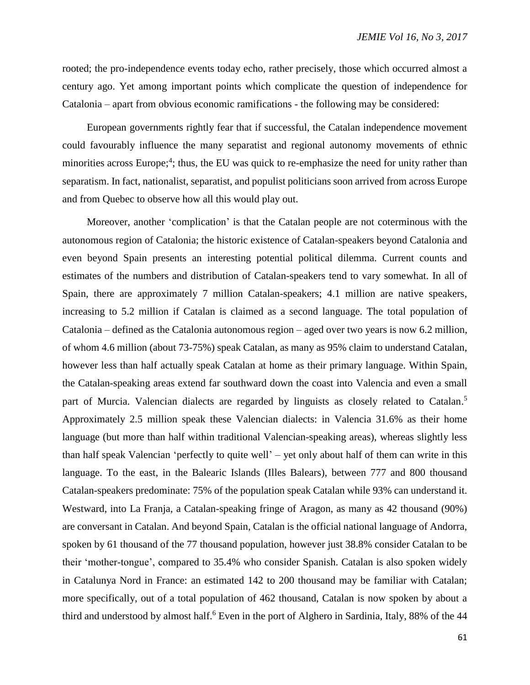rooted; the pro-independence events today echo, rather precisely, those which occurred almost a century ago. Yet among important points which complicate the question of independence for Catalonia – apart from obvious economic ramifications - the following may be considered:

European governments rightly fear that if successful, the Catalan independence movement could favourably influence the many separatist and regional autonomy movements of ethnic minorities across Europe;<sup>4</sup>; thus, the EU was quick to re-emphasize the need for unity rather than separatism. In fact, nationalist, separatist, and populist politicians soon arrived from across Europe and from Quebec to observe how all this would play out.

Moreover, another 'complication' is that the Catalan people are not coterminous with the autonomous region of Catalonia; the historic existence of Catalan-speakers beyond Catalonia and even beyond Spain presents an interesting potential political dilemma. Current counts and estimates of the numbers and distribution of Catalan-speakers tend to vary somewhat. In all of Spain, there are approximately 7 million Catalan-speakers; 4.1 million are native speakers, increasing to 5.2 million if Catalan is claimed as a second language. The total population of Catalonia – defined as the Catalonia autonomous region – aged over two years is now 6.2 million, of whom 4.6 million (about 73-75%) speak Catalan, as many as 95% claim to understand Catalan, however less than half actually speak Catalan at home as their primary language. Within Spain, the Catalan-speaking areas extend far southward down the coast into Valencia and even a small part of Murcia. Valencian dialects are regarded by linguists as closely related to Catalan.<sup>5</sup> Approximately 2.5 million speak these Valencian dialects: in Valencia 31.6% as their home language (but more than half within traditional Valencian-speaking areas), whereas slightly less than half speak Valencian 'perfectly to quite well' – yet only about half of them can write in this language. To the east, in the Balearic Islands (Illes Balears), between 777 and 800 thousand Catalan-speakers predominate: 75% of the population speak Catalan while 93% can understand it. Westward, into La Franja, a Catalan-speaking fringe of Aragon, as many as 42 thousand (90%) are conversant in Catalan. And beyond Spain, Catalan is the official national language of Andorra, spoken by 61 thousand of the 77 thousand population, however just 38.8% consider Catalan to be their 'mother-tongue', compared to 35.4% who consider Spanish. Catalan is also spoken widely in Catalunya Nord in France: an estimated 142 to 200 thousand may be familiar with Catalan; more specifically, out of a total population of 462 thousand, Catalan is now spoken by about a third and understood by almost half.<sup>6</sup> Even in the port of Alghero in Sardinia, Italy, 88% of the 44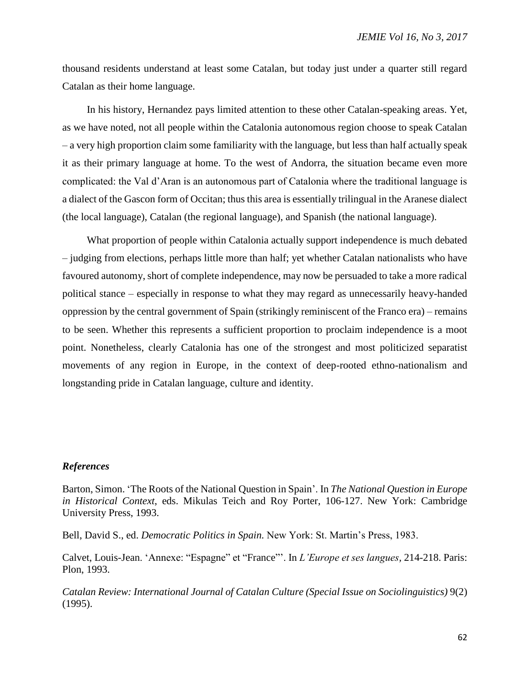thousand residents understand at least some Catalan, but today just under a quarter still regard Catalan as their home language.

In his history, Hernandez pays limited attention to these other Catalan-speaking areas. Yet, as we have noted, not all people within the Catalonia autonomous region choose to speak Catalan – a very high proportion claim some familiarity with the language, but less than half actually speak it as their primary language at home. To the west of Andorra, the situation became even more complicated: the Val d'Aran is an autonomous part of Catalonia where the traditional language is a dialect of the Gascon form of Occitan; thus this area is essentially trilingual in the Aranese dialect (the local language), Catalan (the regional language), and Spanish (the national language).

What proportion of people within Catalonia actually support independence is much debated – judging from elections, perhaps little more than half; yet whether Catalan nationalists who have favoured autonomy, short of complete independence, may now be persuaded to take a more radical political stance – especially in response to what they may regard as unnecessarily heavy-handed oppression by the central government of Spain (strikingly reminiscent of the Franco era) – remains to be seen. Whether this represents a sufficient proportion to proclaim independence is a moot point. Nonetheless, clearly Catalonia has one of the strongest and most politicized separatist movements of any region in Europe, in the context of deep-rooted ethno-nationalism and longstanding pride in Catalan language, culture and identity.

## *References*

Barton, Simon. 'The Roots of the National Question in Spain'. In *The National Question in Europe in Historical Context*, eds. Mikulas Teich and Roy Porter, 106-127. New York: Cambridge University Press, 1993.

Bell, David S., ed. *Democratic Politics in Spain.* New York: St. Martin's Press, 1983.

Calvet, Louis-Jean. 'Annexe: "Espagne" et "France"'. In *L'Europe et ses langues,* 214-218. Paris: Plon, 1993.

*Catalan Review: International Journal of Catalan Culture (Special Issue on Sociolinguistics)* 9(2) (1995).